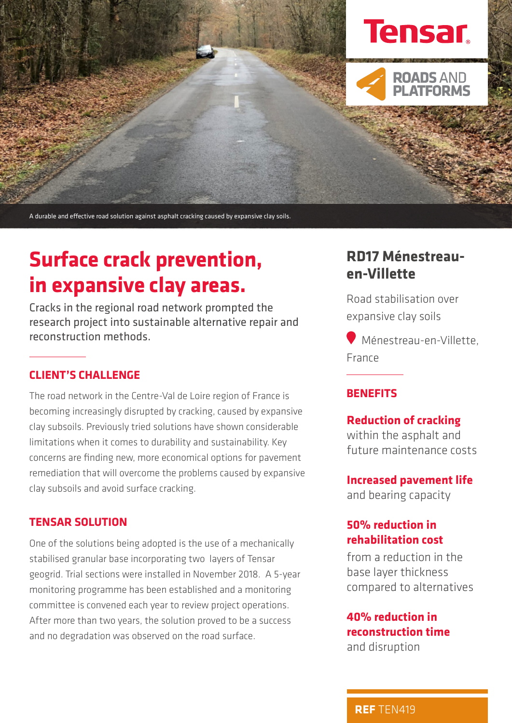

A durable and effective road solution against asphalt cracking caused by expansive clay soils.

# **Surface crack prevention, in expansive clay areas.**

Cracks in the regional road network prompted the research project into sustainable alternative repair and reconstruction methods.

# **CLIENT'S CHALLENGE**

The road network in the Centre-Val de Loire region of France is becoming increasingly disrupted by cracking, caused by expansive clay subsoils. Previously tried solutions have shown considerable limitations when it comes to durability and sustainability. Key concerns are finding new, more economical options for pavement remediation that will overcome the problems caused by expansive clay subsoils and avoid surface cracking.

### **TENSAR SOLUTION**

One of the solutions being adopted is the use of a mechanically stabilised granular base incorporating two layers of Tensar geogrid. Trial sections were installed in November 2018. A 5-year monitoring programme has been established and a monitoring committee is convened each year to review project operations. After more than two years, the solution proved to be a success and no degradation was observed on the road surface.

# **RD17 Ménestreauen-Villette**

Road stabilisation over expansive clay soils

Ménestreau-en-Villette, France

## **BENEFITS**

### **Reduction of cracking**

within the asphalt and future maintenance costs

#### **Increased pavement life**

and bearing capacity

# **50% reduction in rehabilitation cost**

from a reduction in the base layer thickness compared to alternatives

# **40% reduction in reconstruction time**  and disruption

**• REF** TEN419